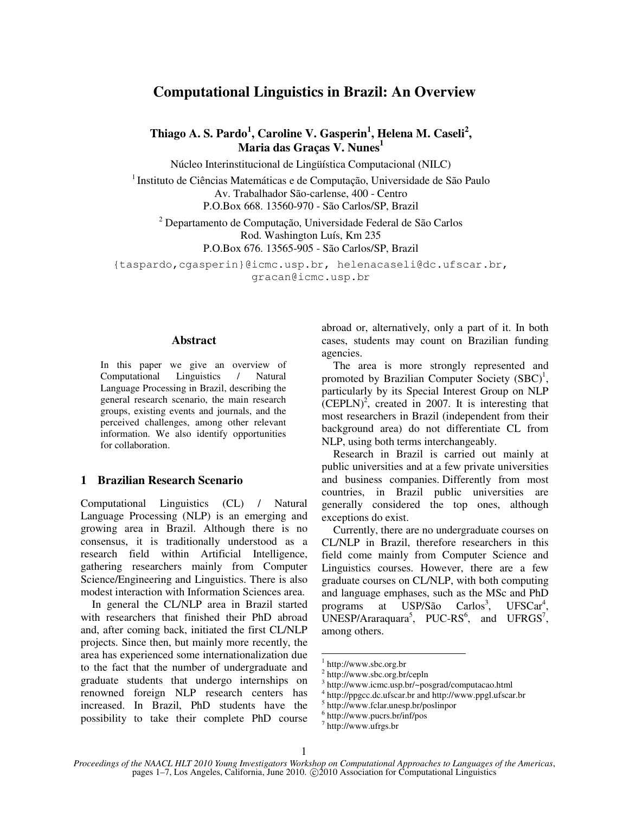# **Computational Linguistics in Brazil: An Overview**

**Thiago A. S. Pardo<sup>1</sup> , Caroline V. Gasperin<sup>1</sup> , Helena M. Caseli<sup>2</sup> , Maria das Graças V. Nunes<sup>1</sup>**

Núcleo Interinstitucional de Lingüística Computacional (NILC)

<sup>1</sup> Instituto de Ciências Matemáticas e de Computação, Universidade de São Paulo Av. Trabalhador São-carlense, 400 - Centro P.O.Box 668. 13560-970 - São Carlos/SP, Brazil

2 Departamento de Computação, Universidade Federal de São Carlos Rod. Washington Luís, Km 235 P.O.Box 676. 13565-905 - São Carlos/SP, Brazil

{taspardo,cgasperin}@icmc.usp.br, helenacaseli@dc.ufscar.br, gracan@icmc.usp.br

## **Abstract**

In this paper we give an overview of Computational Linguistics / Natural Language Processing in Brazil, describing the general research scenario, the main research groups, existing events and journals, and the perceived challenges, among other relevant information. We also identify opportunities for collaboration.

# **1 Brazilian Research Scenario**

Computational Linguistics (CL) / Natural Language Processing (NLP) is an emerging and growing area in Brazil. Although there is no consensus, it is traditionally understood as a research field within Artificial Intelligence, gathering researchers mainly from Computer Science/Engineering and Linguistics. There is also modest interaction with Information Sciences area.

In general the CL/NLP area in Brazil started with researchers that finished their PhD abroad and, after coming back, initiated the first CL/NLP projects. Since then, but mainly more recently, the area has experienced some internationalization due to the fact that the number of undergraduate and graduate students that undergo internships on renowned foreign NLP research centers has increased. In Brazil, PhD students have the possibility to take their complete PhD course

abroad or, alternatively, only a part of it. In both cases, students may count on Brazilian funding agencies.

The area is more strongly represented and promoted by Brazilian Computer Society  $(SBC)^1$ , particularly by its Special Interest Group on NLP  $(CEPLN)^2$ , created in 2007. It is interesting that most researchers in Brazil (independent from their background area) do not differentiate CL from NLP, using both terms interchangeably.

Research in Brazil is carried out mainly at public universities and at a few private universities and business companies. Differently from most countries, in Brazil public universities are generally considered the top ones, although exceptions do exist.

Currently, there are no undergraduate courses on CL/NLP in Brazil, therefore researchers in this field come mainly from Computer Science and Linguistics courses. However, there are a few graduate courses on CL/NLP, with both computing and language emphases, such as the MSc and PhD programs at USP/São , UFSCar<sup>4</sup> ,  $UNESP/Arrayuara<sup>5</sup>, PUC-RS<sup>6</sup>, and UFRGS<sup>7</sup>,$ among others.

5 http://www.fclar.unesp.br/poslinpor

 $\overline{a}$ 

<sup>1</sup> http://www.sbc.org.br

<sup>&</sup>lt;sup>2</sup> http://www.sbc.org.br/cepln

<sup>3</sup> http://www.icmc.usp.br/~posgrad/computacao.html

<sup>4</sup> http://ppgcc.dc.ufscar.br and http://www.ppgl.ufscar.br

<sup>6</sup> http://www.pucrs.br/inf/pos

<sup>7</sup> http://www.ufrgs.br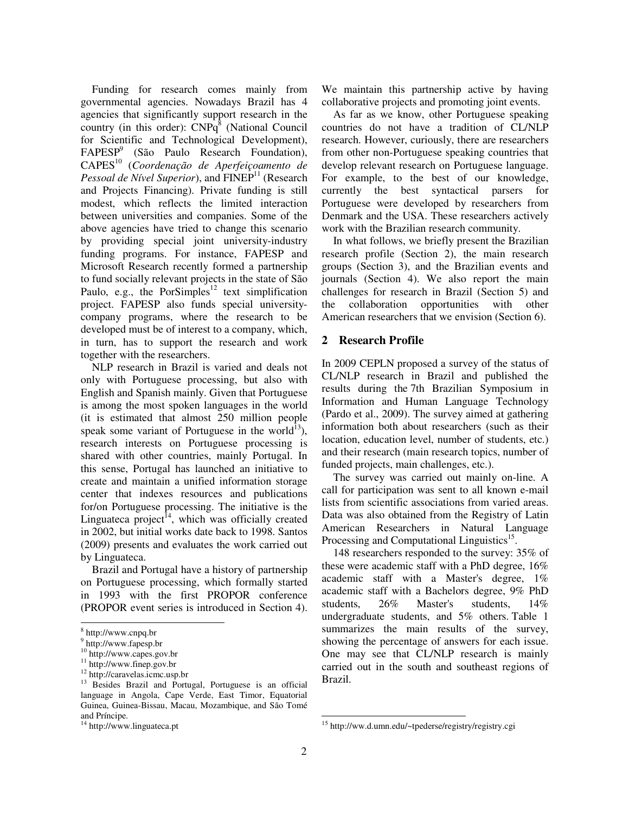Funding for research comes mainly from governmental agencies. Nowadays Brazil has 4 agencies that significantly support research in the country (in this order):  $CNPq^8$  (National Council for Scientific and Technological Development), FAPESP<sup>9</sup> (São Paulo Research Foundation), CAPES<sup>10</sup> (*Coordenação de Aperfeiçoamento de Pessoal de Nível Superior*), and FINEP<sup>11</sup> (Research and Projects Financing). Private funding is still modest, which reflects the limited interaction between universities and companies. Some of the above agencies have tried to change this scenario by providing special joint university-industry funding programs. For instance, FAPESP and Microsoft Research recently formed a partnership to fund socially relevant projects in the state of São Paulo, e.g., the PorSimples<sup>12</sup> text simplification project. FAPESP also funds special universitycompany programs, where the research to be developed must be of interest to a company, which, in turn, has to support the research and work together with the researchers.

NLP research in Brazil is varied and deals not only with Portuguese processing, but also with English and Spanish mainly. Given that Portuguese is among the most spoken languages in the world (it is estimated that almost 250 million people speak some variant of Portuguese in the world $^{13}$ ), research interests on Portuguese processing is shared with other countries, mainly Portugal. In this sense, Portugal has launched an initiative to create and maintain a unified information storage center that indexes resources and publications for/on Portuguese processing. The initiative is the Linguateca project<sup>14</sup>, which was officially created in 2002, but initial works date back to 1998. Santos (2009) presents and evaluates the work carried out by Linguateca.

Brazil and Portugal have a history of partnership on Portuguese processing, which formally started in 1993 with the first PROPOR conference (PROPOR event series is introduced in Section 4).

j

We maintain this partnership active by having collaborative projects and promoting joint events.

As far as we know, other Portuguese speaking countries do not have a tradition of CL/NLP research. However, curiously, there are researchers from other non-Portuguese speaking countries that develop relevant research on Portuguese language. For example, to the best of our knowledge, currently the best syntactical parsers for Portuguese were developed by researchers from Denmark and the USA. These researchers actively work with the Brazilian research community.

In what follows, we briefly present the Brazilian research profile (Section 2), the main research groups (Section 3), and the Brazilian events and journals (Section 4). We also report the main challenges for research in Brazil (Section 5) and the collaboration opportunities with other American researchers that we envision (Section 6).

## **2 Research Profile**

In 2009 CEPLN proposed a survey of the status of CL/NLP research in Brazil and published the results during the 7th Brazilian Symposium in Information and Human Language Technology (Pardo et al., 2009). The survey aimed at gathering information both about researchers (such as their location, education level, number of students, etc.) and their research (main research topics, number of funded projects, main challenges, etc.).

The survey was carried out mainly on-line. A call for participation was sent to all known e-mail lists from scientific associations from varied areas. Data was also obtained from the Registry of Latin American Researchers in Natural Language Processing and Computational Linguistics<sup>15</sup>.

148 researchers responded to the survey: 35% of these were academic staff with a PhD degree, 16% academic staff with a Master's degree, 1% academic staff with a Bachelors degree, 9% PhD students, 26% Master's students, 14% undergraduate students, and 5% others. Table 1 summarizes the main results of the survey, showing the percentage of answers for each issue. One may see that CL/NLP research is mainly carried out in the south and southeast regions of Brazil.

1

<sup>8</sup> http://www.cnpq.br

<sup>9</sup> http://www.fapesp.br

<sup>10</sup> http://www.capes.gov.br

<sup>11</sup> http://www.finep.gov.br

<sup>12</sup> http://caravelas.icmc.usp.br

<sup>&</sup>lt;sup>13</sup> Besides Brazil and Portugal, Portuguese is an official language in Angola, Cape Verde, East Timor, Equatorial Guinea, Guinea-Bissau, Macau, Mozambique, and São Tomé and Príncipe.

<sup>&</sup>lt;sup>14</sup> http://www.linguateca.pt

<sup>15</sup> http://ww.d.umn.edu/~tpederse/registry/registry.cgi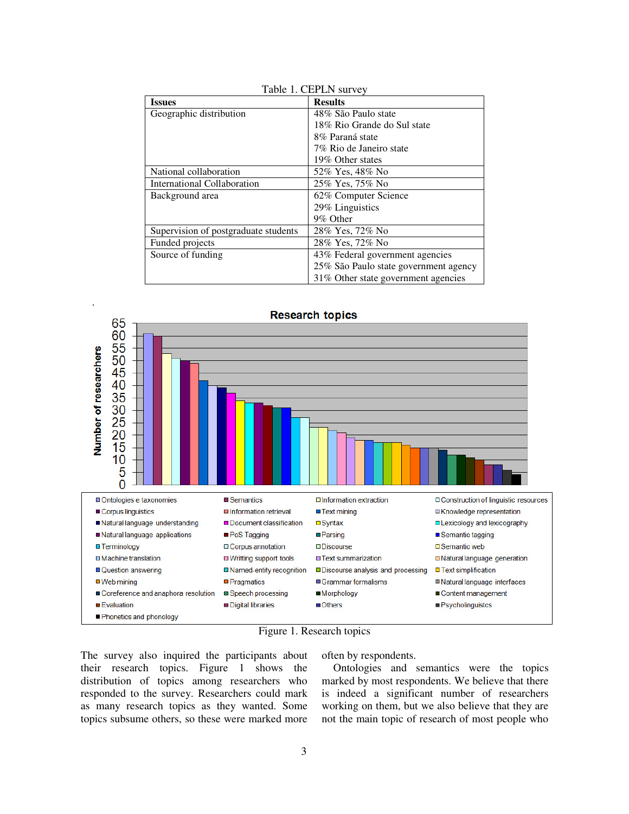| <b>Issues</b>                        | <b>Results</b>                        |
|--------------------------------------|---------------------------------------|
| Geographic distribution              | 48% São Paulo state                   |
|                                      | 18% Rio Grande do Sul state           |
|                                      | 8% Paraná state                       |
|                                      | 7% Rio de Janeiro state               |
|                                      | 19% Other states                      |
| National collaboration               | 52% Yes, 48% No                       |
| International Collaboration          | 25% Yes, 75% No                       |
| Background area                      | 62% Computer Science                  |
|                                      | 29% Linguistics                       |
|                                      | 9% Other                              |
| Supervision of postgraduate students | 28% Yes, 72% No                       |
| Funded projects                      | 28% Yes, 72% No                       |
| Source of funding                    | 43% Federal government agencies       |
|                                      | 25% São Paulo state government agency |
|                                      | 31% Other state government agencies   |







The survey also inquired the participants about their research topics. Figure 1 shows the distribution of topics among researchers who responded to the survey. Researchers could mark as many research topics as they wanted. Some topics subsume others, so these were marked more often by respondents.

Ontologies and semantics were the topics marked by most respondents. We believe that there is indeed a significant number of researchers working on them, but we also believe that they are not the main topic of research of most people who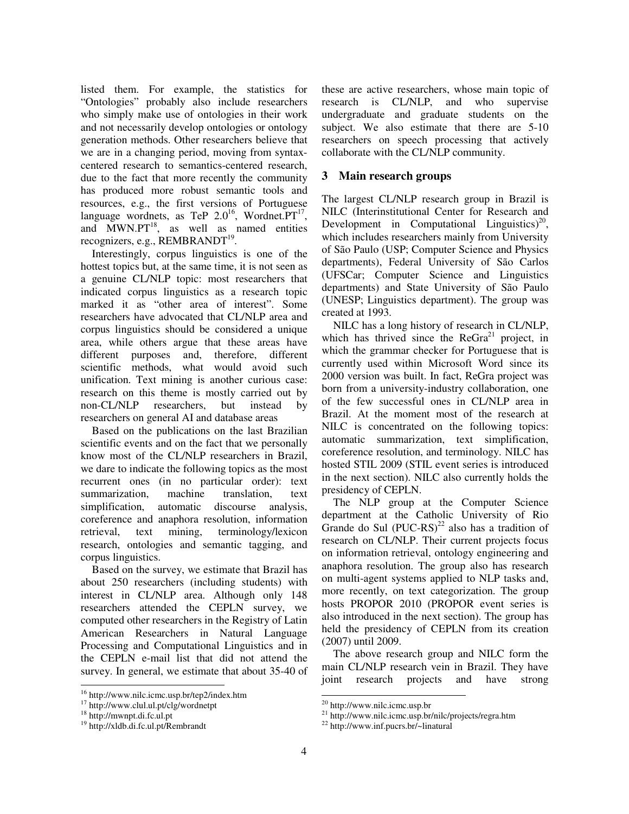listed them. For example, the statistics for "Ontologies" probably also include researchers who simply make use of ontologies in their work and not necessarily develop ontologies or ontology generation methods. Other researchers believe that we are in a changing period, moving from syntaxcentered research to semantics-centered research, due to the fact that more recently the community has produced more robust semantic tools and resources, e.g., the first versions of Portuguese language wordnets, as TeP  $2.0^{16}$ , Wordnet. $PT^{17}$ , and  $MWN.PT^{18}$ , as well as named entities recognizers, e.g., REMBRANDT<sup>19</sup>.

Interestingly, corpus linguistics is one of the hottest topics but, at the same time, it is not seen as a genuine CL/NLP topic: most researchers that indicated corpus linguistics as a research topic marked it as "other area of interest". Some researchers have advocated that CL/NLP area and corpus linguistics should be considered a unique area, while others argue that these areas have different purposes and, therefore, different scientific methods, what would avoid such unification. Text mining is another curious case: research on this theme is mostly carried out by non-CL/NLP researchers, but instead by researchers on general AI and database areas

Based on the publications on the last Brazilian scientific events and on the fact that we personally know most of the CL/NLP researchers in Brazil, we dare to indicate the following topics as the most recurrent ones (in no particular order): text summarization, machine translation, text simplification, automatic discourse analysis, coreference and anaphora resolution, information retrieval, text mining, terminology/lexicon research, ontologies and semantic tagging, and corpus linguistics.

Based on the survey, we estimate that Brazil has about 250 researchers (including students) with interest in CL/NLP area. Although only 148 researchers attended the CEPLN survey, we computed other researchers in the Registry of Latin American Researchers in Natural Language Processing and Computational Linguistics and in the CEPLN e-mail list that did not attend the survey. In general, we estimate that about 35-40 of

j

these are active researchers, whose main topic of research is CL/NLP, and who supervise undergraduate and graduate students on the subject. We also estimate that there are 5-10 researchers on speech processing that actively collaborate with the CL/NLP community.

## **3 Main research groups**

The largest CL/NLP research group in Brazil is NILC (Interinstitutional Center for Research and Development in Computational Linguistics)<sup>20</sup>, which includes researchers mainly from University of São Paulo (USP; Computer Science and Physics departments), Federal University of São Carlos (UFSCar; Computer Science and Linguistics departments) and State University of São Paulo (UNESP; Linguistics department). The group was created at 1993.

NILC has a long history of research in CL/NLP, which has thrived since the  $\text{ReGra}^{21}$  project, in which the grammar checker for Portuguese that is currently used within Microsoft Word since its 2000 version was built. In fact, ReGra project was born from a university-industry collaboration, one of the few successful ones in CL/NLP area in Brazil. At the moment most of the research at NILC is concentrated on the following topics: automatic summarization, text simplification, coreference resolution, and terminology. NILC has hosted STIL 2009 (STIL event series is introduced in the next section). NILC also currently holds the presidency of CEPLN.

The NLP group at the Computer Science department at the Catholic University of Rio Grande do Sul  $(PUC-RS)^{22}$  also has a tradition of research on CL/NLP. Their current projects focus on information retrieval, ontology engineering and anaphora resolution. The group also has research on multi-agent systems applied to NLP tasks and, more recently, on text categorization. The group hosts PROPOR 2010 (PROPOR event series is also introduced in the next section). The group has held the presidency of CEPLN from its creation (2007) until 2009.

The above research group and NILC form the main CL/NLP research vein in Brazil. They have joint research projects and have strong

 $\overline{a}$ 

<sup>16</sup> http://www.nilc.icmc.usp.br/tep2/index.htm

<sup>17</sup> http://www.clul.ul.pt/clg/wordnetpt

<sup>18</sup> http://mwnpt.di.fc.ul.pt

<sup>19</sup> http://xldb.di.fc.ul.pt/Rembrandt

<sup>20</sup> http://www.nilc.icmc.usp.br

<sup>21</sup> http://www.nilc.icmc.usp.br/nilc/projects/regra.htm

<sup>22</sup> http://www.inf.pucrs.br/~linatural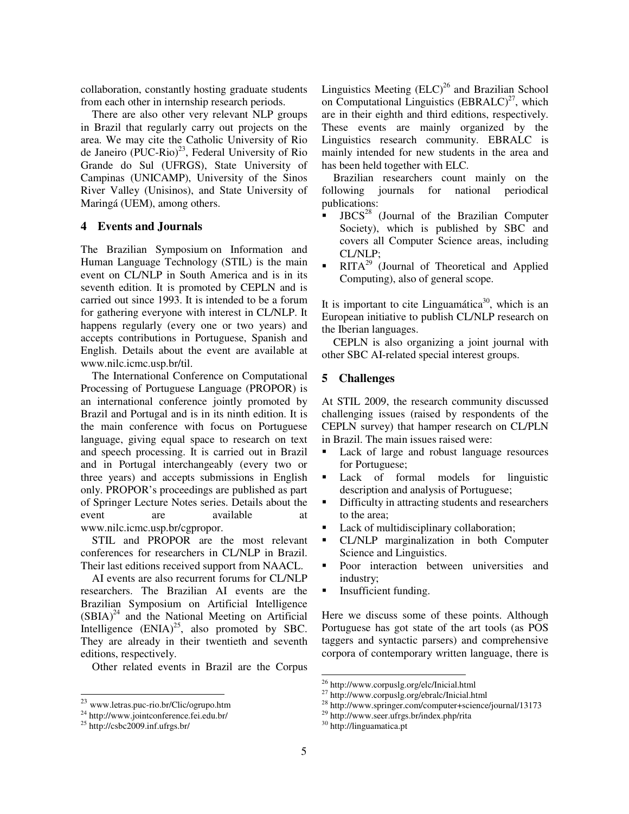collaboration, constantly hosting graduate students from each other in internship research periods.

There are also other very relevant NLP groups in Brazil that regularly carry out projects on the area. We may cite the Catholic University of Rio de Janeiro (PUC-Rio)<sup>23</sup>, Federal University of Rio Grande do Sul (UFRGS), State University of Campinas (UNICAMP), University of the Sinos River Valley (Unisinos), and State University of Maringá (UEM), among others.

## **4 Events and Journals**

The Brazilian Symposium on Information and Human Language Technology (STIL) is the main event on CL/NLP in South America and is in its seventh edition. It is promoted by CEPLN and is carried out since 1993. It is intended to be a forum for gathering everyone with interest in CL/NLP. It happens regularly (every one or two years) and accepts contributions in Portuguese, Spanish and English. Details about the event are available at www.nilc.icmc.usp.br/til.

The International Conference on Computational Processing of Portuguese Language (PROPOR) is an international conference jointly promoted by Brazil and Portugal and is in its ninth edition. It is the main conference with focus on Portuguese language, giving equal space to research on text and speech processing. It is carried out in Brazil and in Portugal interchangeably (every two or three years) and accepts submissions in English only. PROPOR's proceedings are published as part of Springer Lecture Notes series. Details about the event are available at www.nilc.icmc.usp.br/cgpropor.

STIL and PROPOR are the most relevant conferences for researchers in CL/NLP in Brazil. Their last editions received support from NAACL.

AI events are also recurrent forums for CL/NLP researchers. The Brazilian AI events are the Brazilian Symposium on Artificial Intelligence  $(SBIA)^{24}$  and the National Meeting on Artificial Intelligence  $(ENIA)^{25}$ , also promoted by SBC. They are already in their twentieth and seventh editions, respectively.

Other related events in Brazil are the Corpus

j

Linguistics Meeting  $(ELC)^{26}$  and Brazilian School on Computational Linguistics  $(BBRALC)^{27}$ , which are in their eighth and third editions, respectively. These events are mainly organized by the Linguistics research community. EBRALC is mainly intended for new students in the area and has been held together with ELC.

Brazilian researchers count mainly on the following journals for national periodical publications:

- JBCS<sup>28</sup> (Journal of the Brazilian Computer Society), which is published by SBC and covers all Computer Science areas, including CL/NLP;
- **RITA<sup>29</sup>** (Journal of Theoretical and Applied Computing), also of general scope.

It is important to cite Linguamática<sup>30</sup>, which is an European initiative to publish CL/NLP research on the Iberian languages.

CEPLN is also organizing a joint journal with other SBC AI-related special interest groups.

# **5 Challenges**

At STIL 2009, the research community discussed challenging issues (raised by respondents of the CEPLN survey) that hamper research on CL/PLN in Brazil. The main issues raised were:

- Lack of large and robust language resources for Portuguese;
- Lack of formal models for linguistic description and analysis of Portuguese;
- Difficulty in attracting students and researchers to the area;
- Lack of multidisciplinary collaboration;
- CL/NLP marginalization in both Computer Science and Linguistics.
- Poor interaction between universities and industry;
- **Insufficient funding.**

Here we discuss some of these points. Although Portuguese has got state of the art tools (as POS taggers and syntactic parsers) and comprehensive corpora of contemporary written language, there is

<sup>29</sup> http://www.seer.ufrgs.br/index.php/rita

<sup>&</sup>lt;sup>23</sup> www.letras.puc-rio.br/Clic/ogrupo.htm

<sup>24</sup> http://www.jointconference.fei.edu.br/

<sup>25</sup> http://csbc2009.inf.ufrgs.br/

 $\overline{a}$ <sup>26</sup> http://www.corpuslg.org/elc/Inicial.html

<sup>&</sup>lt;sup>27</sup> http://www.corpuslg.org/ebralc/Inicial.html

<sup>28</sup> http://www.springer.com/computer+science/journal/13173

<sup>30</sup> http://linguamatica.pt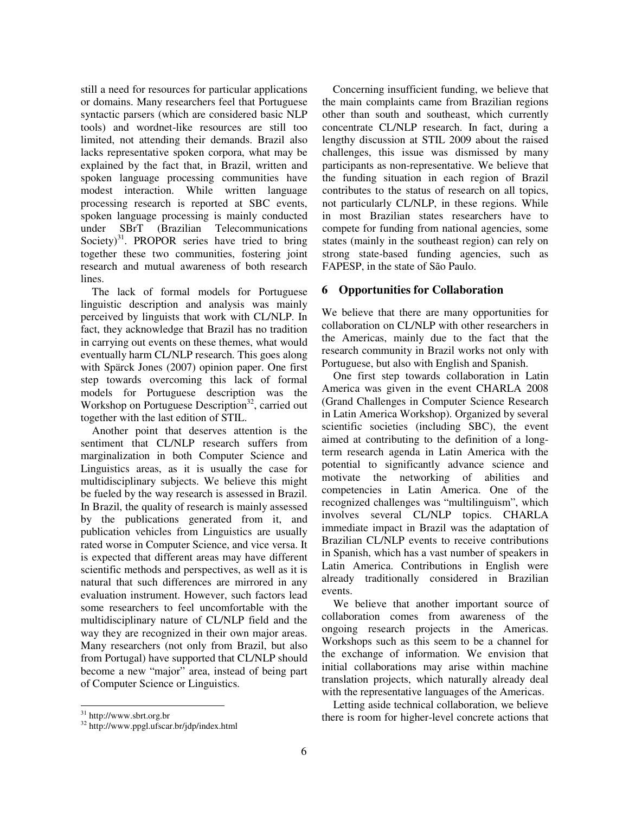still a need for resources for particular applications or domains. Many researchers feel that Portuguese syntactic parsers (which are considered basic NLP tools) and wordnet-like resources are still too limited, not attending their demands. Brazil also lacks representative spoken corpora, what may be explained by the fact that, in Brazil, written and spoken language processing communities have modest interaction. While written language processing research is reported at SBC events, spoken language processing is mainly conducted under SBrT (Brazilian Telecommunications Society)<sup>31</sup>. PROPOR series have tried to bring together these two communities, fostering joint research and mutual awareness of both research lines.

The lack of formal models for Portuguese linguistic description and analysis was mainly perceived by linguists that work with CL/NLP. In fact, they acknowledge that Brazil has no tradition in carrying out events on these themes, what would eventually harm CL/NLP research. This goes along with Spärck Jones (2007) opinion paper. One first step towards overcoming this lack of formal models for Portuguese description was the Workshop on Portuguese Description<sup>32</sup>, carried out together with the last edition of STIL.

Another point that deserves attention is the sentiment that CL/NLP research suffers from marginalization in both Computer Science and Linguistics areas, as it is usually the case for multidisciplinary subjects. We believe this might be fueled by the way research is assessed in Brazil. In Brazil, the quality of research is mainly assessed by the publications generated from it, and publication vehicles from Linguistics are usually rated worse in Computer Science, and vice versa. It is expected that different areas may have different scientific methods and perspectives, as well as it is natural that such differences are mirrored in any evaluation instrument. However, such factors lead some researchers to feel uncomfortable with the multidisciplinary nature of CL/NLP field and the way they are recognized in their own major areas. Many researchers (not only from Brazil, but also from Portugal) have supported that CL/NLP should become a new "major" area, instead of being part of Computer Science or Linguistics.

Concerning insufficient funding, we believe that the main complaints came from Brazilian regions other than south and southeast, which currently concentrate CL/NLP research. In fact, during a lengthy discussion at STIL 2009 about the raised challenges, this issue was dismissed by many participants as non-representative. We believe that the funding situation in each region of Brazil contributes to the status of research on all topics, not particularly CL/NLP, in these regions. While in most Brazilian states researchers have to compete for funding from national agencies, some states (mainly in the southeast region) can rely on strong state-based funding agencies, such as FAPESP, in the state of São Paulo.

# **6 Opportunities for Collaboration**

We believe that there are many opportunities for collaboration on CL/NLP with other researchers in the Americas, mainly due to the fact that the research community in Brazil works not only with Portuguese, but also with English and Spanish.

One first step towards collaboration in Latin America was given in the event CHARLA 2008 (Grand Challenges in Computer Science Research in Latin America Workshop). Organized by several scientific societies (including SBC), the event aimed at contributing to the definition of a longterm research agenda in Latin America with the potential to significantly advance science and motivate the networking of abilities and competencies in Latin America. One of the recognized challenges was "multilinguism", which involves several CL/NLP topics. CHARLA immediate impact in Brazil was the adaptation of Brazilian CL/NLP events to receive contributions in Spanish, which has a vast number of speakers in Latin America. Contributions in English were already traditionally considered in Brazilian events.

We believe that another important source of collaboration comes from awareness of the ongoing research projects in the Americas. Workshops such as this seem to be a channel for the exchange of information. We envision that initial collaborations may arise within machine translation projects, which naturally already deal with the representative languages of the Americas.

Letting aside technical collaboration, we believe there is room for higher-level concrete actions that

j <sup>31</sup> http://www.sbrt.org.br

<sup>32</sup> http://www.ppgl.ufscar.br/jdp/index.html